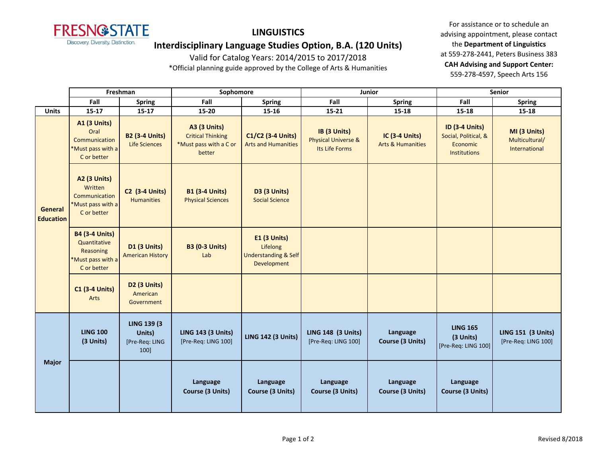

## **LINGUISTICS**

**Interdisciplinary Language Studies Option, B.A. (120 Units)**

Valid for Catalog Years: 2014/2015 to 2017/2018

\*Official planning guide approved by the College of Arts & Humanities

For assistance or to schedule an advising appointment, please contact the **Department of Linguistics** at 559-278-2441, Peters Business 383 **CAH Advising and Support Center:**  559-278-4597, Speech Arts 156

|                             | Freshman                                                                               |                                                         | Sophomore                                                                           |                                                                            | Junior                                                           |                                                | <b>Senior</b>                                                                    |                                                  |
|-----------------------------|----------------------------------------------------------------------------------------|---------------------------------------------------------|-------------------------------------------------------------------------------------|----------------------------------------------------------------------------|------------------------------------------------------------------|------------------------------------------------|----------------------------------------------------------------------------------|--------------------------------------------------|
|                             | Fall                                                                                   | <b>Spring</b>                                           | Fall                                                                                | <b>Spring</b>                                                              | Fall                                                             | <b>Spring</b>                                  | Fall                                                                             | <b>Spring</b>                                    |
| <b>Units</b>                | $15-17$                                                                                | $15 - 17$                                               | 15-20                                                                               | 15-16                                                                      | $15 - 21$                                                        | 15-18                                          | 15-18                                                                            | $15 - 18$                                        |
| General<br><b>Education</b> | <b>A1 (3 Units)</b><br>Oral<br>Communication<br>*Must pass with a<br>C or better       | <b>B2 (3-4 Units)</b><br><b>Life Sciences</b>           | <b>A3 (3 Units)</b><br><b>Critical Thinking</b><br>*Must pass with a C or<br>better | C1/C2 (3-4 Units)<br><b>Arts and Humanities</b>                            | IB (3 Units)<br><b>Physical Universe &amp;</b><br>Its Life Forms | IC (3-4 Units)<br><b>Arts &amp; Humanities</b> | <b>ID (3-4 Units)</b><br>Social, Political, &<br>Economic<br><b>Institutions</b> | MI (3 Units)<br>Multicultural/<br>International  |
|                             | <b>A2 (3 Units)</b><br>Written<br>Communication<br>*Must pass with a<br>C or better    | <b>C2 (3-4 Units)</b><br><b>Humanities</b>              | <b>B1 (3-4 Units)</b><br><b>Physical Sciences</b>                                   | <b>D3 (3 Units)</b><br><b>Social Science</b>                               |                                                                  |                                                |                                                                                  |                                                  |
|                             | <b>B4 (3-4 Units)</b><br>Quantitative<br>Reasoning<br>*Must pass with a<br>C or better | <b>D1 (3 Units)</b><br><b>American History</b>          | <b>B3 (0-3 Units)</b><br>Lab                                                        | E1 (3 Units)<br>Lifelong<br><b>Understanding &amp; Self</b><br>Development |                                                                  |                                                |                                                                                  |                                                  |
|                             | <b>C1 (3-4 Units)</b><br>Arts                                                          | <b>D2 (3 Units)</b><br>American<br>Government           |                                                                                     |                                                                            |                                                                  |                                                |                                                                                  |                                                  |
| <b>Major</b>                | <b>LING 100</b><br>(3 Units)                                                           | <b>LING 139 (3)</b><br>Units)<br>[Pre-Req: LING<br>100] | <b>LING 143 (3 Units)</b><br>[Pre-Req: LING 100]                                    | <b>LING 142 (3 Units)</b>                                                  | <b>LING 148 (3 Units)</b><br>[Pre-Req: LING 100]                 | Language<br>Course (3 Units)                   | <b>LING 165</b><br>(3 Units)<br>[Pre-Req: LING 100]                              | <b>LING 151 (3 Units)</b><br>[Pre-Req: LING 100] |
|                             |                                                                                        |                                                         | Language<br>Course (3 Units)                                                        | Language<br>Course (3 Units)                                               | Language<br>Course (3 Units)                                     | Language<br>Course (3 Units)                   | Language<br>Course (3 Units)                                                     |                                                  |